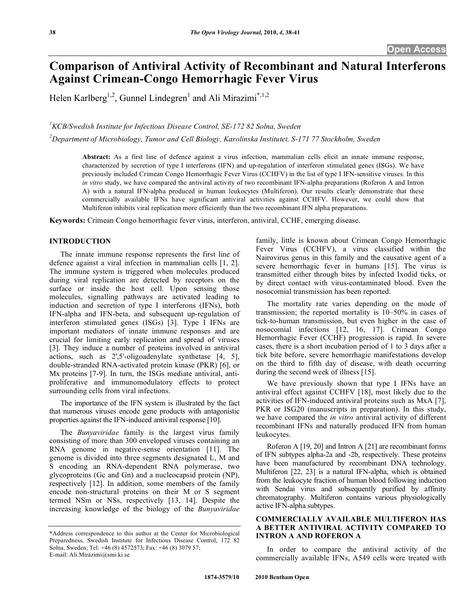# **Comparison of Antiviral Activity of Recombinant and Natural Interferons Against Crimean-Congo Hemorrhagic Fever Virus**

Helen Karlberg<sup>1,2</sup>, Gunnel Lindegren<sup>1</sup> and Ali Mirazimi<sup>\*,1,2</sup>

<sup>1</sup> KCB/Swedish Institute for Infectious Disease Control, SE-172 82 Solna, Sweden

*2 Department of Microbiology, Tumor and Cell Biology, Karolinska Institutet, S-171 77 Stockholm, Sweden* 

**Abstract:** As a first line of defence against a virus infection, mammalian cells elicit an innate immune response, characterized by secretion of type I interferons (IFN) and up-regulation of interferon stimulated genes (ISGs). We have previously included Crimean Congo Hemorrhagic Fever Virus (CCHFV) in the list of type I IFN-sensitive viruses. In this *in vitro* study, we have compared the antiviral activity of two recombinant IFN-alpha preparations (Roferon A and Intron A) with a natural IFN-alpha produced in human leukocytes (Multiferon). Our results clearly demonstrate that these commercially available IFNs have significant antiviral activities against CCHFV. However, we could show that Multiferon inhibits viral replication more efficiently than the two recombinant IFN alpha preparations.

**Keywords:** Crimean Congo hemorrhagic fever virus, interferon, antiviral, CCHF, emerging disease.

#### **INTRODUCTION**

 The innate immune response represents the first line of defence against a viral infection in mammalian cells [1, 2]. The immune system is triggered when molecules produced during viral replication are detected by receptors on the surface or inside the host cell. Upon sensing those molecules, signalling pathways are activated leading to induction and secretion of type I interferons (IFNs), both IFN-alpha and IFN-beta, and subsequent up-regulation of interferon stimulated genes (ISGs) [3]. Type I IFNs are important mediators of innate immune responses and are crucial for limiting early replication and spread of viruses [3]. They induce a number of proteins involved in antiviral actions, such as 2',5'-oligoadenylate synthetase [4, 5], double-stranded RNA-activated protein kinase (PKR) [6], or Mx proteins [7-9]. In turn, the ISGs mediate antiviral, antiproliferative and immunomodulatory effects to protect surrounding cells from viral infections.

 The importance of the IFN system is illustrated by the fact that numerous viruses encode gene products with antagonistic properties against the IFN-induced antiviral response [10].

 The *Bunyaviridae* family is the largest virus family consisting of more than 300 enveloped viruses containing an RNA genome in negative-sense orientation [11]. The genome is divided into three segments designated L, M and S encoding an RNA-dependent RNA polymerase, two glycoproteins (Gc and Gn) and a nucleocapsid protein (NP), respectively [12]. In addition, some members of the family encode non-structural proteins on their M or S segment termed NSm or NSs, respectively [13, 14]. Despite the increasing knowledge of the biology of the *Bunyaviridae*

family, little is known about Crimean Congo Hemorrhagic Fever Virus (CCHFV), a virus classified within the Nairovirus genus in this family and the causative agent of a severe hemorrhagic fever in humans [15]. The virus is transmitted either through bites by infected Ixodid ticks, or by direct contact with virus-contaminated blood. Even the nosocomial transmission has been reported.

 The mortality rate varies depending on the mode of transmission; the reported mortality is 10–50% in cases of tick-to-human transmission, but even higher in the case of nosocomial infections [12, 16, 17]. Crimean Congo Hemorrhagic Fever (CCHF) progression is rapid. In severe cases, there is a short incubation period of 1 to 3 days after a tick bite before, severe hemorrhagic manifestations develop on the third to fifth day of disease, with death occurring during the second week of illness [15].

 We have previously shown that type I IFNs have an antiviral effect against CCHFV [18], most likely due to the activities of IFN-induced antiviral proteins such as MxA [7], PKR or ISG20 (manuscripts in preparation). In this study, we have compared the *in vitro* antiviral activity of different recombinant IFNs and naturally produced IFN from human leukocytes.

 Roferon A [19, 20] and Intron A [21] are recombinant forms of IFN subtypes alpha-2a and -2b, respectively. These proteins have been manufactured by recombinant DNA technology. Multiferon [22, 23] is a natural IFN-alpha, which is obtained from the leukocyte fraction of human blood following induction with Sendai virus and subsequently purified by affinity chromatography. Multiferon contains various physiologically active IFN-alpha subtypes.

## **COMMERCIALLY AVAILABLE MULTIFERON HAS A BETTER ANTIVIRAL ACTIVITY COMPARED TO INTRON A AND ROFERON A**

 In order to compare the antiviral activity of the commercially available IFNs, A549 cells were treated with

<sup>\*</sup>Address correspondence to this author at the Center for Microbiological Preparedness, Swedish Institute for Infectious Disease Control, 172 82 Solna, Sweden; Tel: +46 (8) 4572573; Fax: +46 (8) 3079 57; E-mail: Ali.Mirazimi@smi.ki.se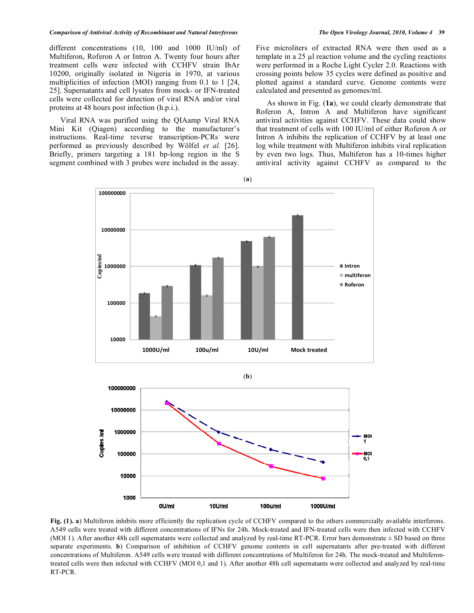#### *Comparison of Antiviral Activity of Recombinant and Natural Interferons The Open Virology Journal, 2010, Volume 4* **39**

different concentrations (10, 100 and 1000 IU/ml) of Multiferon, Roferon A or Intron A. Twenty four hours after treatment cells were infected with CCHFV strain IbAr 10200, originally isolated in Nigeria in 1970, at various multiplicities of infection (MOI) ranging from 0.1 to 1 [24, 25]. Supernatants and cell lysates from mock- or IFN-treated cells were collected for detection of viral RNA and/or viral proteins at 48 hours post infection (h.p.i.).

 Viral RNA was purified using the QIAamp Viral RNA Mini Kit (Qiagen) according to the manufacturer's instructions. Real-time reverse transcription-PCRs were performed as previously described by Wölfel *et al.* [26]. Briefly, primers targeting a 181 bp-long region in the S segment combined with 3 probes were included in the assay. Five microliters of extracted RNA were then used as a template in a  $25 \mu$  reaction volume and the cycling reactions were performed in a Roche Light Cycler 2.0. Reactions with crossing points below 35 cycles were defined as positive and plotted against a standard curve. Genome contents were calculated and presented as genomes/ml.

 As shown in Fig. (**1a**), we could clearly demonstrate that Roferon A, Intron A and Multiferon have significant antiviral activities against CCHFV. These data could show that treatment of cells with 100 IU/ml of either Roferon A or Intron A inhibits the replication of CCHFV by at least one log while treatment with Multiferon inhibits viral replication by even two logs. Thus, Multiferon has a 10-times higher antiviral activity against CCHFV as compared to the







**Fig. (1). a**) Multiferon inhibits more efficiently the replication cycle of CCHFV compared to the others commercially available interferons. A549 cells were treated with different concentrations of IFNs for 24h. Mock-treated and IFN-treated cells were then infected with CCHFV (MOI 1). After another 48h cell supernatants were collected and analyzed by real-time RT-PCR. Error bars demonstrate ± SD based on three separate experiments. **b**) Comparison of inhibition of CCHFV genome contents in cell supernatants after pre-treated with different concentrations of Multiferon. A549 cells were treated with different concentrations of Multiferon for 24h. The mock-treated and Multiferontreated cells were then infected with CCHFV (MOI 0,1 and 1). After another 48h cell supernatants were collected and analyzed by real-time RT-PCR.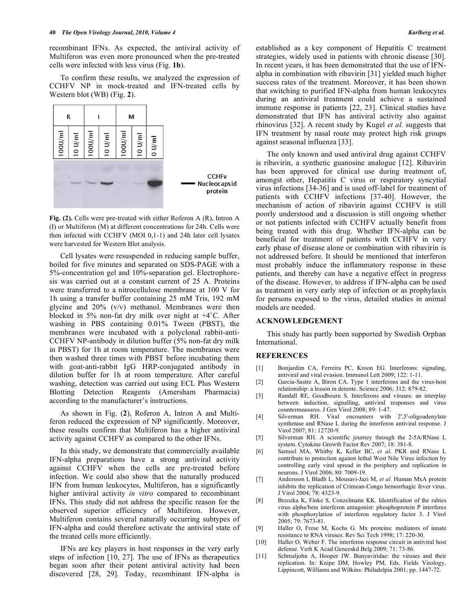recombinant IFNs. As expected, the antiviral activity of Multiferon was even more pronounced when the pre-treated cells were infected with less virus (Fig. **1b**).

 To confirm these results, we analyzed the expression of CCHFV NP in mock-treated and IFN-treated cells by Western blot (WB) (Fig. **2**).



**Fig. (2).** Cells were pre-treated with either Roferon A (R), Intron A (I) or Multiferon (M) at different concentrations for 24h. Cells were then infected with CCHFV (MOI 0,1-1) and 24h later cell lysates were harvested for Western Blot analysis.

 Cell lysates were resuspended in reducing sample buffer, boiled for five minutes and separated on SDS-PAGE with a 5%-concentration gel and 10%-separation gel. Electrophoresis was carried out at a constant current of 25 A. Proteins were transferred to a nitrocellulose membrane at 100 V for 1h using a transfer buffer containing 25 mM Tris, 192 mM glycine and 20% (v/v) methanol. Membranes were then blocked in 5% non-fat dry milk over night at +4˚C. After washing in PBS containing 0.01% Tween (PBST), the membranes were incubated with a polyclonal rabbit-anti-CCHFV NP-antibody in dilution buffer (5% non-fat dry milk in PBST) for 1h at room temperature. The membranes were then washed three times with PBST before incubating them with goat-anti-rabbit IgG HRP-conjugated antibody in dilution buffer for 1h at room temperature. After careful washing, detection was carried out using ECL Plus Western Blotting Detection Reagents (Amersham Pharmacia) according to the manufacturer's instructions.

 As shown in Fig. (**2**), Roferon A, Intron A and Multiferon reduced the expression of NP significantly. Moreover, these results confirm that Multiferon has a higher antiviral activity against CCHFV as compared to the other IFNs.

 In this study, we demonstrate that commercially available IFN-alpha preparations have a strong antiviral activity against CCHFV when the cells are pre-treated before infection. We could also show that the naturally produced IFN from human leukocytes, Multiferon, has a significantly higher antiviral activity *in vitro* compared to recombinant IFNs. This study did not address the specific reason for the observed superior efficiency of Multiferon. However, Multiferon contains several naturally occurring subtypes of IFN-alpha and could therefore activate the antiviral state of the treated cells more efficiently.

 IFNs are key players in host responses in the very early steps of infection [10, 27]. The use of IFNs as therapeutics began soon after their potent antiviral activity had been discovered [28, 29]. Today, recombinant IFN-alpha is established as a key component of Hepatitis C treatment strategies, widely used in patients with chronic disease [30]. In recent years, it has been demonstrated that the use of IFNalpha in combination with ribavirin [31] yielded much higher success rates of the treatment. Moreover, it has been shown that switching to purified IFN-alpha from human leukocytes during an antiviral treatment could achieve a sustained immune response in patients [22, 23]. Clinical studies have demonstrated that IFN has antiviral activity also against rhinovirus [32]. A recent study by Kugel *et al.* suggests that IFN treatment by nasal route may protect high risk groups against seasonal influenza [33].

 The only known and used antiviral drug against CCHFV is ribavirin, a synthetic guanosine analogue [12]. Ribavirin has been approved for clinical use during treatment of, amongst other, Hepatitis C virus or respiratory syncytial virus infections [34-36] and is used off-label for treatment of patients with CCHFV infections [37-40]. However, the mechanism of action of ribavirin against CCHFV is still poorly understood and a discussion is still ongoing whether or not patients infected with CCHFV actually benefit from being treated with this drug. Whether IFN-alpha can be beneficial for treatment of patients with CCHFV in very early phase of disease alone or combination with ribavirin is not addressed before. It should be mentioned that interferon most probably induce the inflammatory response in these patients, and thereby can have a negative effect in progress of the disease. However, to address if IFN-alpha can be used as treatment in very early step of infection or as prophylaxis for persons exposed to the virus, detailed studies in animal models are needed.

#### **ACKNOWLEDGEMENT**

 This study has partly been supported by Swedish Orphan International.

### **REFERENCES**

- [1] Bonjardim CA, Ferreira PC, Kroon EG. Interferons: signaling, antiviral and viral evasion. Immunol Lett 2009; 122: 1-11.
- [2] Garcia-Sastre A, Biron CA. Type 1 interferons and the virus-host relationship: a lesson in detente. Science 2006; 312: 879-82.
- [3] Randall RE, Goodbourn S. Interferons and viruses: an interplay between induction, signalling, antiviral responses and virus countermeasures. J Gen Virol 2008; 89: 1-47.
- [4] Silverman RH. Viral encounters with 2',5'-oligoadenylate synthetase and RNase L during the interferon antiviral response. J Virol 2007; 81: 12720-9.
- [5] Silverman RH. A scientific journey through the 2-5A/RNase L system. Cytokine Growth Factor Rev 2007; 18: 381-8.
- [6] Samuel MA, Whitby K, Keller BC, *et al*. PKR and RNase L contribute to protection against lethal West Nile Virus infection by controlling early viral spread in the periphery and replication in neurons. J Virol 2006; 80: 7009-19.
- [7] Andersson I, Bladh L, Mousavi-Jazi M, *et al*. Human MxA protein inhibits the replication of Crimean-Congo hemorrhagic fever virus. J Virol 2004; 78: 4323-9.
- [8] Brzozka K, Finke S, Conzelmann KK. Identification of the rabies virus alpha/beta interferon antagonist: phosphoprotein P interferes with phosphorylation of interferon regulatory factor 3. J Virol 2005; 79: 7673-81.
- [9] Haller O, Frese M, Kochs G. Mx proteins: mediators of innate resistance to RNA viruses. Rev Sci Tech 1998; 17: 220-30.
- [10] Haller O, Weber F. The interferon response circuit in antiviral host defense. Verh K Acad Geneeskd Belg 2009; 71: 73-86.
- [11] Schmaljohn A, Hooper JW. Bunyaviridae: the viruses and their replication. In: Knipe DM, Howley PM, Eds. Fields Virology, Lippincott, Williams and Wilkins: Philadelpia 2001; pp. 1447-72.